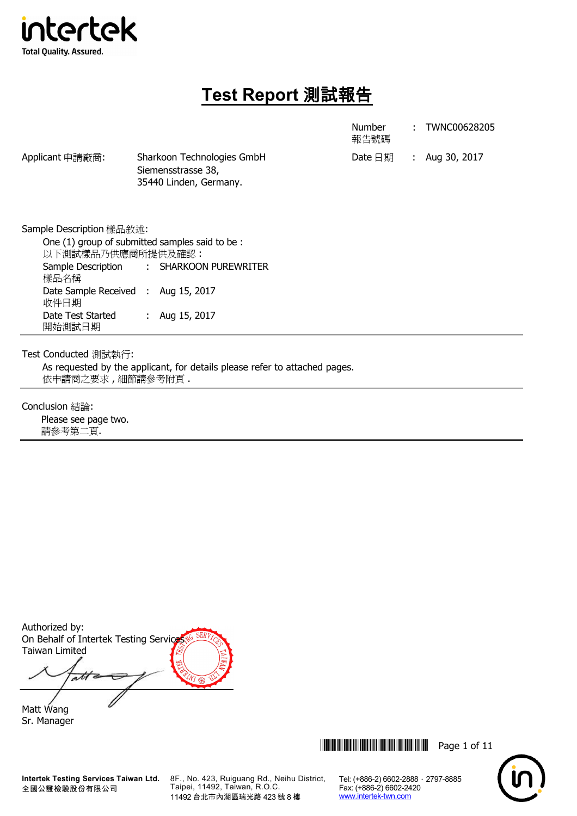

# **Test Report** 測試報告

Number 報告號碼 : TWNC00628205

Applicant 申請廠商: Sharkoon Technologies GmbH Date 日期 : Aug 30, 2017 Siemensstrasse 38, 35440 Linden, Germany.

Sample Description 樣品敘述: One (1) group of submitted samples said to be : 以下測試樣品乃供應商所提供及確認 : Sample Description 樣品名稱 : SHARKOON PUREWRITER Date Sample Received : 收件日期 Aug 15, 2017 Date Test Started 開始測試日期 : Aug 15, 2017

Test Conducted 測試執行:

As requested by the applicant, for details please refer to attached pages. 依申請商之要求 , 細節請參考附頁 .

Conclusion 結論:

Please see page two. 請參考第二頁.

Authorized by: On Behalf of Intertek Testing Service Taiwan Limited

ati

Matt Wang Sr. Manager

8F., No. 423, Ruiguang Rd., Neihu District, Taipei, 11492, Taiwan, R.O.C. 11492 台北市內湖區瑞光路 423 號 8 樓



Tel: (+886-2) 6602-2888 · 2797-8885

Fax: (+886-2) 6602-2420 www.intertek-twn.com

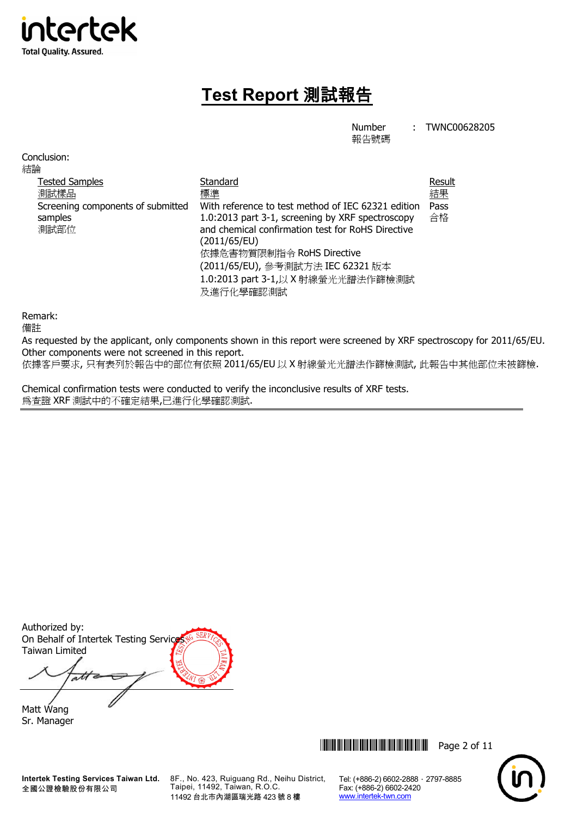

# **Test Report** 測試報告

Number

: TWNC00628205

報告號碼

| Conclusion:<br>結論                                                                     |                                                                                                                                                                                                                                                                                                       |                            |
|---------------------------------------------------------------------------------------|-------------------------------------------------------------------------------------------------------------------------------------------------------------------------------------------------------------------------------------------------------------------------------------------------------|----------------------------|
| <b>Tested Samples</b><br>測試樣品<br>Screening components of submitted<br>samples<br>測試部位 | Standard<br>標準<br>With reference to test method of IEC 62321 edition<br>1.0:2013 part 3-1, screening by XRF spectroscopy<br>and chemical confirmation test for RoHS Directive<br>(2011/65/EU)<br>依據危害物質限制指令 RoHS Directive<br>(2011/65/EU), 參考測試方法 IEC 62321 版本<br>1.0:2013 part 3-1,以 X 射線螢光光譜法作篩檢測試 | Result<br>結果<br>Pass<br>合格 |
|                                                                                       | 及進行化學確認測試                                                                                                                                                                                                                                                                                             |                            |

Remark:

備註

As requested by the applicant, only components shown in this report were screened by XRF spectroscopy for 2011/65/EU. Other components were not screened in this report.

依據客戶要求, 只有表列於報告中的部位有依照 2011/65/EU 以 X 射線螢光光譜法作篩檢測試, 此報告中其他部位未被篩檢.

Chemical confirmation tests were conducted to verify the inconclusive results of XRF tests. 為查證 XRF 測試中的不確定結果,已進行化學確認測試.

Authorized by: On Behalf of Intertek Testing Service Taiwan Limited

att 与

Matt Wang Sr. Manager

**Intertek Testing Services Taiwan Ltd.** 全國公證檢驗股份有限公司

8F., No. 423, Ruiguang Rd., Neihu District, Taipei, 11492, Taiwan, R.O.C. 11492 台北市內湖區瑞光路 423 號 8 樓

\*THJ0628205\* Page 2 of 11

Tel: (+886-2) 6602-2888 · 2797-8885

Fax: (+886-2) 6602-2420 www.intertek-twn.com

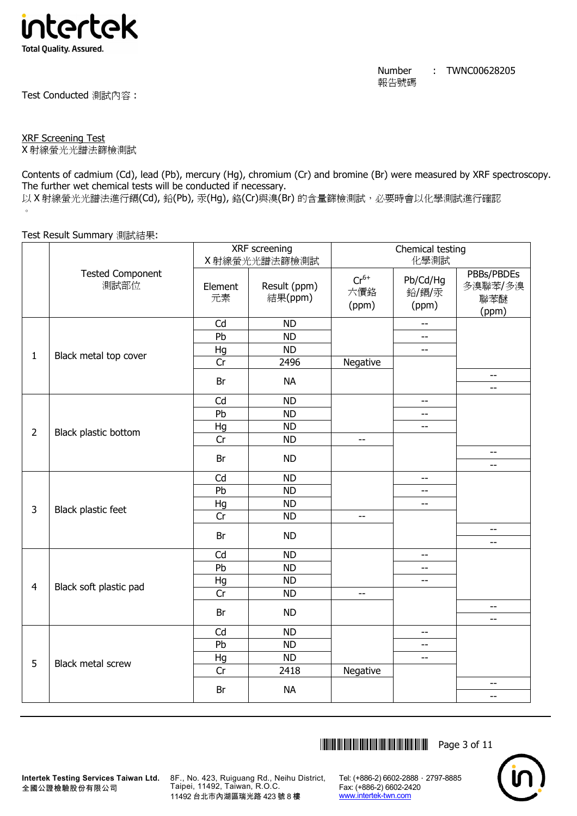

Test Conducted 測試內容 :

XRF Screening Test

X 射線螢光光譜法篩檢測試

Contents of cadmium (Cd), lead (Pb), mercury (Hg), chromium (Cr) and bromine (Br) were measured by XRF spectroscopy. The further wet chemical tests will be conducted if necessary.

以 X 射線螢光光譜法進行鎘(Cd), 鉛(Pb), 汞(Hq), 鉻(Cr)與溴(Br) 的含量篩檢測試, 必要時會以化學測試進行確認  $\circ$ 

Test Result Summary 測試結果:

|                |                                 |               | XRF screening           |                           | Chemical testing           |                                       |
|----------------|---------------------------------|---------------|-------------------------|---------------------------|----------------------------|---------------------------------------|
|                |                                 |               | X射線螢光光譜法篩檢測試            |                           | 化學測試                       |                                       |
|                | <b>Tested Component</b><br>測試部位 | Element<br>元素 | Result (ppm)<br>結果(ppm) | $Cr^{6+}$<br>六價鉻<br>(ppm) | Pb/Cd/Hg<br>鉛/鎘/汞<br>(ppm) | PBBs/PBDEs<br>多溴聯苯/多溴<br>聯苯醚<br>(ppm) |
|                |                                 | Cd            | <b>ND</b>               |                           | $\overline{a}$             |                                       |
|                |                                 | Pb            | <b>ND</b>               |                           | 44                         |                                       |
|                |                                 | Hg            | <b>ND</b>               |                           | $\overline{a}$             |                                       |
| $\mathbf{1}$   | Black metal top cover           | Cr            | 2496                    | Negative                  |                            |                                       |
|                |                                 | Br            | <b>NA</b>               |                           |                            | --<br>$-$                             |
|                |                                 | Cd            | <b>ND</b>               |                           | $\overline{\phantom{m}}$   |                                       |
|                |                                 | Pb            | <b>ND</b>               |                           | --                         |                                       |
|                |                                 | Hg            | <b>ND</b>               |                           | $\overline{\phantom{a}}$   |                                       |
| $\overline{2}$ | Black plastic bottom            | Cr            | <b>ND</b>               | $\overline{\phantom{m}}$  |                            |                                       |
|                |                                 | Br            | <b>ND</b>               |                           |                            | --<br>$-$                             |
|                |                                 | Cd            | <b>ND</b>               |                           | $\overline{a}$             |                                       |
|                |                                 | Pb            | <b>ND</b>               |                           | --                         |                                       |
| 3              |                                 | Hg            | <b>ND</b>               |                           | $\overline{a}$             |                                       |
|                | Black plastic feet              | Cr            | <b>ND</b>               | $-$                       |                            |                                       |
|                |                                 | Br            | <b>ND</b>               |                           |                            | --<br>--                              |
|                |                                 | Cd            | <b>ND</b>               |                           | $-$                        |                                       |
|                |                                 | Pb            | <b>ND</b>               |                           | $\overline{\phantom{a}}$   |                                       |
| $\overline{4}$ | Black soft plastic pad          | Hg            | <b>ND</b>               |                           | $\overline{\phantom{a}}$   |                                       |
|                |                                 | Cr            | <b>ND</b>               | $-$                       |                            |                                       |
|                |                                 | Br            | <b>ND</b>               |                           |                            | $-$                                   |
|                |                                 |               |                         |                           |                            | --                                    |
|                |                                 | Cd            | <b>ND</b>               |                           | $-$                        |                                       |
|                |                                 | Pb            | <b>ND</b>               |                           | $-$                        |                                       |
| 5              | Black metal screw               | Hg<br>Cr      | <b>ND</b><br>2418       | Negative                  | $\overline{a}$             |                                       |
|                |                                 |               |                         |                           |                            | --                                    |
|                |                                 | Br            | <b>NA</b>               |                           |                            | --                                    |
|                |                                 |               |                         |                           |                            |                                       |

\*THJ0628205\* Page 3 of 11



**Intertek Testing Services Taiwan Ltd.** 全國公證檢驗股份有限公司

8F., No. 423, Ruiguang Rd., Neihu District, Taipei, 11492, Taiwan, R.O.C. 11492 台北市內湖區瑞光路 423 號 8 樓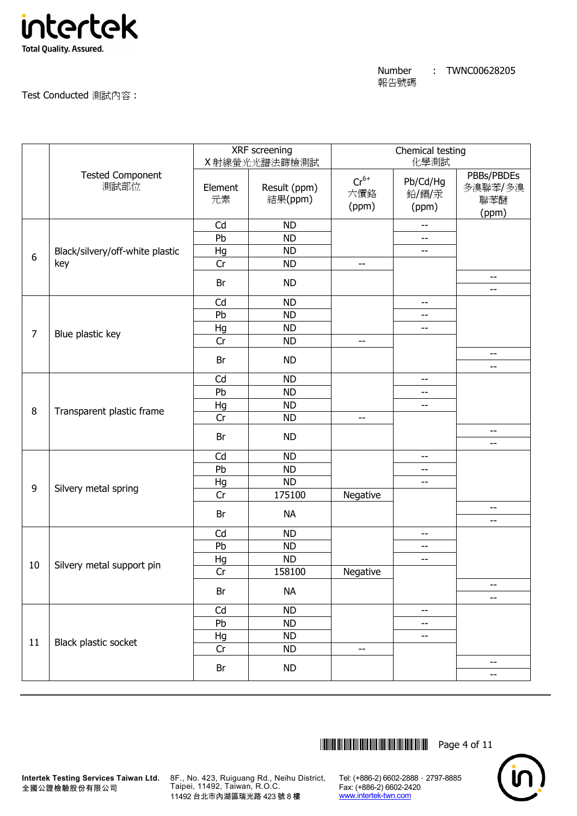

Test Conducted 測試內容 :

|                |                                 |               | XRF screening<br>X 射線螢光光譜法篩檢測試 |                           | Chemical testing<br>化學測試                            |                                       |
|----------------|---------------------------------|---------------|--------------------------------|---------------------------|-----------------------------------------------------|---------------------------------------|
|                | <b>Tested Component</b><br>測試部位 | Element<br>元素 | Result (ppm)<br>結果(ppm)        | $Cr^{6+}$<br>六價鉻<br>(ppm) | Pb/Cd/Hg<br>鉛/鎘/汞<br>(ppm)                          | PBBs/PBDEs<br>多溴聯苯/多溴<br>聯苯醚<br>(ppm) |
|                |                                 | Cd            | <b>ND</b>                      |                           | $\hspace{0.05cm} -\hspace{0.05cm} -\hspace{0.05cm}$ |                                       |
|                |                                 | Pb            | <b>ND</b>                      |                           | --                                                  |                                       |
| 6              | Black/silvery/off-white plastic | Hg            | <b>ND</b>                      |                           | --                                                  |                                       |
|                | key                             | Cr            | <b>ND</b>                      | $-$                       |                                                     |                                       |
|                |                                 | Br            | <b>ND</b>                      |                           |                                                     | --<br>--                              |
|                |                                 | Cd            | <b>ND</b>                      |                           | --                                                  |                                       |
|                |                                 | Pb            | <b>ND</b>                      |                           | --                                                  |                                       |
|                |                                 | Hg            | <b>ND</b>                      |                           | $-$                                                 |                                       |
| $\overline{7}$ | Blue plastic key                | Cr            | <b>ND</b>                      | $-$                       |                                                     |                                       |
|                |                                 | Br            | <b>ND</b>                      |                           |                                                     | $-$                                   |
|                |                                 |               |                                |                           |                                                     | --                                    |
|                |                                 | Cd            | <b>ND</b>                      |                           | $-$                                                 |                                       |
|                | Transparent plastic frame       | Pb            | <b>ND</b>                      |                           | --                                                  |                                       |
| 8              |                                 | Hg            | <b>ND</b>                      |                           | --                                                  |                                       |
|                |                                 | Cr            | <b>ND</b>                      | $\overline{\phantom{a}}$  |                                                     |                                       |
|                |                                 | Br            | <b>ND</b>                      |                           |                                                     | --<br>--                              |
|                |                                 | Cd            | <b>ND</b>                      |                           | $-$                                                 |                                       |
|                |                                 | Pb            | <b>ND</b>                      |                           | --                                                  |                                       |
| 9              |                                 | Hg            | <b>ND</b>                      |                           | --                                                  |                                       |
|                | Silvery metal spring            | Cr            | 175100                         | Negative                  |                                                     |                                       |
|                |                                 | Br            | <b>NA</b>                      |                           |                                                     | --<br>--                              |
|                |                                 | Cd            | <b>ND</b>                      |                           | --                                                  |                                       |
|                |                                 | Pb            | <b>ND</b>                      |                           | --                                                  |                                       |
|                |                                 | Hg            | <b>ND</b>                      |                           | --                                                  |                                       |
| 10             | Silvery metal support pin       | Cr            | 158100                         | Negative                  |                                                     |                                       |
|                |                                 | Br            | <b>NA</b>                      |                           |                                                     | --<br>--                              |
|                |                                 | Cd            | <b>ND</b>                      |                           | --                                                  |                                       |
|                |                                 | Pb            | <b>ND</b>                      |                           | --                                                  |                                       |
|                |                                 | Hg            | ND                             |                           | --                                                  |                                       |
| 11             | Black plastic socket            | Cr            | <b>ND</b>                      | $-$                       |                                                     |                                       |
|                |                                 | Br            | <b>ND</b>                      |                           |                                                     | --                                    |
|                |                                 |               |                                |                           |                                                     | --                                    |



**Intertek Testing Services Taiwan Ltd.** 8F., No. 423, Ruiguang Rd., Neihu District, Taipei, 11492, Taiwan, R.O.C. 11492 台北市內湖區瑞光路 423 號 8 樓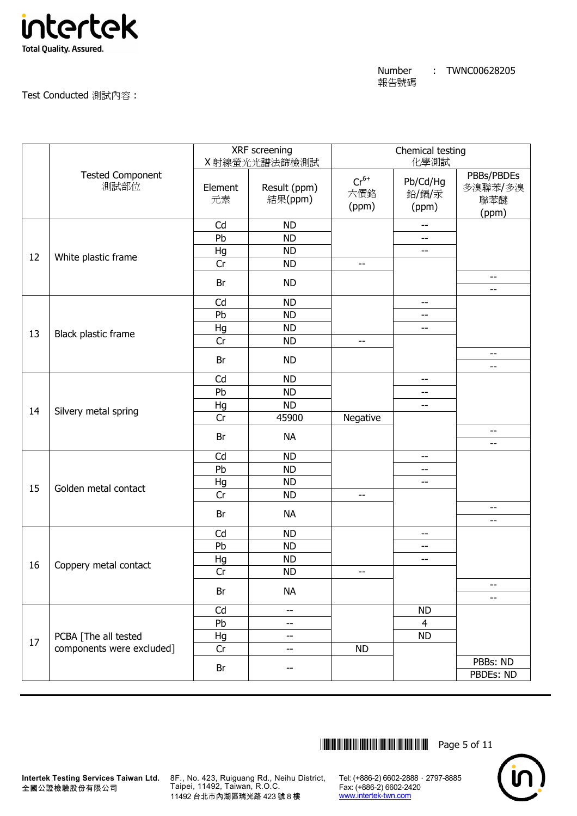

# Test Conducted 測試內容 :

|    |                                 |               | XRF screening<br>X 射線螢光光譜法篩檢測試 |                           | Chemical testing<br>化學測試   |                                       |
|----|---------------------------------|---------------|--------------------------------|---------------------------|----------------------------|---------------------------------------|
|    | <b>Tested Component</b><br>測試部位 | Element<br>元素 | Result (ppm)<br>結果(ppm)        | $Cr^{6+}$<br>六價鉻<br>(ppm) | Pb/Cd/Hg<br>鉛/鎘/汞<br>(ppm) | PBBs/PBDEs<br>多溴聯苯/多溴<br>聯苯醚<br>(ppm) |
|    |                                 | Cd            | <b>ND</b>                      |                           | $- -$                      |                                       |
|    |                                 | Pb            | <b>ND</b>                      |                           | $-$                        |                                       |
| 12 | White plastic frame             | Hg            | <b>ND</b>                      |                           | $- -$                      |                                       |
|    |                                 | Cr            | <b>ND</b>                      | --                        |                            |                                       |
|    |                                 | Br            | <b>ND</b>                      |                           |                            | --<br>--                              |
|    |                                 | Cd            | <b>ND</b>                      |                           | --                         |                                       |
|    |                                 | Pb            | <b>ND</b>                      |                           | $-$                        |                                       |
|    |                                 | Hg            | <b>ND</b>                      |                           | $\overline{a}$             |                                       |
| 13 | Black plastic frame             | Cr            | <b>ND</b>                      | $-$                       |                            |                                       |
|    |                                 |               | <b>ND</b>                      |                           |                            | --                                    |
|    |                                 | Br            |                                |                           |                            | --                                    |
|    |                                 | Cd            | <b>ND</b>                      |                           | $-$                        |                                       |
|    |                                 | Pb            | <b>ND</b>                      |                           | $-$                        |                                       |
| 14 |                                 | Hg            | <b>ND</b>                      |                           | --                         |                                       |
|    | Silvery metal spring            | Cr            | 45900                          | Negative                  |                            |                                       |
|    |                                 | Br            | <b>NA</b>                      |                           |                            | --<br>--                              |
|    |                                 | Cd            | <b>ND</b>                      |                           | --                         |                                       |
|    |                                 | Pb            | <b>ND</b>                      |                           | $-$                        |                                       |
|    |                                 | Hg            | <b>ND</b>                      |                           | $- -$                      |                                       |
| 15 | Golden metal contact            | Cr            | <b>ND</b>                      | --                        |                            |                                       |
|    |                                 | Br            | <b>NA</b>                      |                           |                            | --<br>--                              |
|    |                                 | Cd            | <b>ND</b>                      |                           | --                         |                                       |
|    |                                 | Pb            | <b>ND</b>                      |                           | --                         |                                       |
|    |                                 | Hg            | <b>ND</b>                      |                           | $-$                        |                                       |
| 16 | Coppery metal contact           | Cr            | <b>ND</b>                      | --                        |                            |                                       |
|    |                                 | Br            | <b>NA</b>                      |                           |                            | --                                    |
|    |                                 |               |                                |                           |                            | --                                    |
|    |                                 | Cd            | $-$                            |                           | <b>ND</b>                  |                                       |
|    |                                 | Pb            | --                             |                           | $\overline{4}$             |                                       |
| 17 | PCBA [The all tested            | Hg            | --                             |                           | <b>ND</b>                  |                                       |
|    | components were excluded]       | Cr            | --                             | <b>ND</b>                 |                            |                                       |
|    |                                 | Br            | --                             |                           |                            | PBBs: ND<br>PBDEs: ND                 |
|    |                                 |               |                                |                           |                            |                                       |

 $\begin{tabular}{ll} \hline \textbf{||}}\textbf{||}{\textbf{||}}\textbf{||}{\textbf{||}}\textbf{||}{\textbf{||}}\textbf{||}{\textbf{||}}\textbf{||}{\textbf{||}}\textbf{||}{\textbf{||}}\textbf{||}{\textbf{||}}\textbf{||}{\textbf{||}}\textbf{||}{\textbf{||}}\textbf{||}{\textbf{||}}\textbf{||}{\textbf{||}}\textbf{||}{\textbf{||}}\textbf{||}{\textbf{||}}\textbf{||}{\textbf{||}}\textbf{||}{\textbf{||}}\textbf{||}{\textbf{||}}\textbf{||}{\textbf{||$ 



**Intertek Testing Services Taiwan Ltd.** 8F., No. 423, Ruiguang Rd., Neihu District, Taipei, 11492, Taiwan, R.O.C. 11492 台北市內湖區瑞光路 423 號 8 樓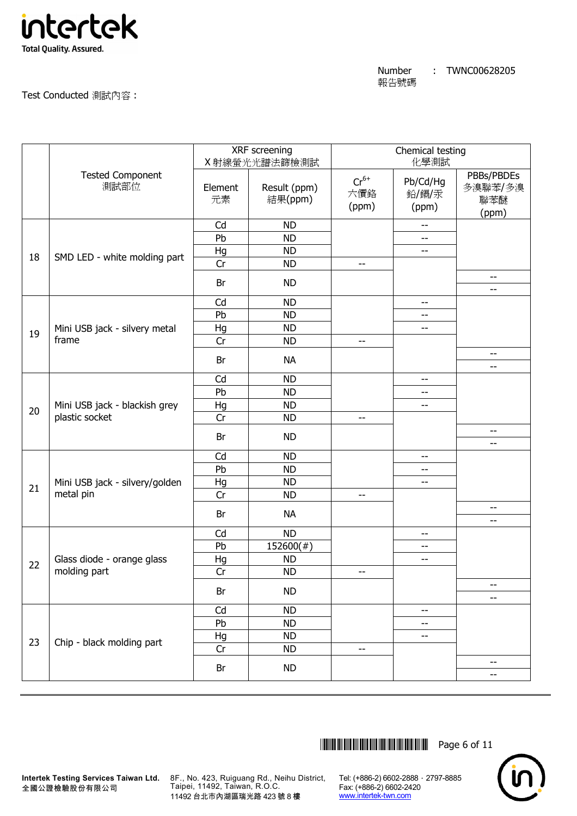

Test Conducted 測試內容 :

|    |                                 |               | XRF screening<br>X 射線螢光光譜法篩檢測試 |                           | Chemical testing<br>化學測試   |                                       |
|----|---------------------------------|---------------|--------------------------------|---------------------------|----------------------------|---------------------------------------|
|    | <b>Tested Component</b><br>測試部位 | Element<br>元素 | Result (ppm)<br>結果(ppm)        | $Cr^{6+}$<br>六價鉻<br>(ppm) | Pb/Cd/Hg<br>鉛/鎘/汞<br>(ppm) | PBBs/PBDEs<br>多溴聯苯/多溴<br>聯苯醚<br>(ppm) |
|    |                                 | Cd            | <b>ND</b>                      |                           | $- -$                      |                                       |
|    |                                 | Pb            | <b>ND</b>                      |                           | $- -$                      |                                       |
| 18 | SMD LED - white molding part    | Hg            | <b>ND</b>                      |                           | $- -$                      |                                       |
|    |                                 | Cr            | <b>ND</b>                      | --                        |                            |                                       |
|    |                                 | Br            | <b>ND</b>                      |                           |                            | --<br>--                              |
|    |                                 | Cd            | <b>ND</b>                      |                           | --                         |                                       |
|    |                                 | Pb            | <b>ND</b>                      |                           | $-$                        |                                       |
|    | Mini USB jack - silvery metal   | Hg            | <b>ND</b>                      |                           | $-$                        |                                       |
| 19 | frame                           | Cr            | <b>ND</b>                      | $-$                       |                            |                                       |
|    |                                 | Br            | <b>NA</b>                      |                           |                            | --                                    |
|    |                                 |               |                                |                           |                            | --                                    |
|    |                                 | Cd            | <b>ND</b>                      |                           | $-$                        |                                       |
|    | Mini USB jack - blackish grey   | Pb            | <b>ND</b>                      |                           | $-$                        |                                       |
| 20 |                                 | Hg            | <b>ND</b>                      |                           | $-$                        |                                       |
|    | plastic socket                  | Cr            | <b>ND</b>                      | $\overline{\phantom{m}}$  |                            |                                       |
|    |                                 | Br            | <b>ND</b>                      |                           |                            | --<br>--                              |
|    |                                 | Cd            | <b>ND</b>                      |                           | --                         |                                       |
|    |                                 | Pb            | <b>ND</b>                      |                           | $\overline{a}$             |                                       |
|    | Mini USB jack - silvery/golden  | Hg            | <b>ND</b>                      |                           | $- -$                      |                                       |
| 21 | metal pin                       | Cr            | <b>ND</b>                      | --                        |                            |                                       |
|    |                                 | Br            | <b>NA</b>                      |                           |                            | --<br>--                              |
|    |                                 | Cd            | <b>ND</b>                      |                           | --                         |                                       |
|    |                                 | Pb            | $152600(\#)$                   |                           | --                         |                                       |
|    | Glass diode - orange glass      | Hg            | <b>ND</b>                      |                           | $\overline{a}$             |                                       |
| 22 | molding part                    | Cr            | <b>ND</b>                      | --                        |                            |                                       |
|    |                                 | Br            | <b>ND</b>                      |                           |                            | --                                    |
|    |                                 |               |                                |                           |                            | --                                    |
|    |                                 | Cd            | <b>ND</b>                      |                           | $-$                        |                                       |
|    |                                 | Pb            | <b>ND</b>                      |                           | --                         |                                       |
| 23 | Chip - black molding part       | Hg            | <b>ND</b>                      |                           | --                         |                                       |
|    |                                 | Cr            | <b>ND</b>                      |                           |                            |                                       |
|    |                                 | Br            | <b>ND</b>                      |                           |                            | --<br>--                              |
|    |                                 |               |                                |                           |                            |                                       |

 $\begin{tabular}{ll} \hline \textbf{||}}\textbf{||}{\textbf{||}}\textbf{||}{\textbf{||}}\textbf{||}{\textbf{||}}\textbf{||}{\textbf{||}}\textbf{||}{\textbf{||}}\textbf{||}{\textbf{||}}\textbf{||}{\textbf{||}}\textbf{||}{\textbf{||}}\textbf{||}{\textbf{||}}\textbf{||}{\textbf{||}}\textbf{||}{\textbf{||}}\textbf{||}{\textbf{||}}\textbf{||}{\textbf{||}}\textbf{||}{\textbf{||}}\textbf{||}{\textbf{||}}\textbf{||}{\textbf{||}}\textbf{||}{\textbf{||$ 



**Intertek Testing Services Taiwan Ltd.** 8F., No. 423, Ruiguang Rd., Neihu District, Taipei, 11492, Taiwan, R.O.C. 11492 台北市內湖區瑞光路 423 號 8 樓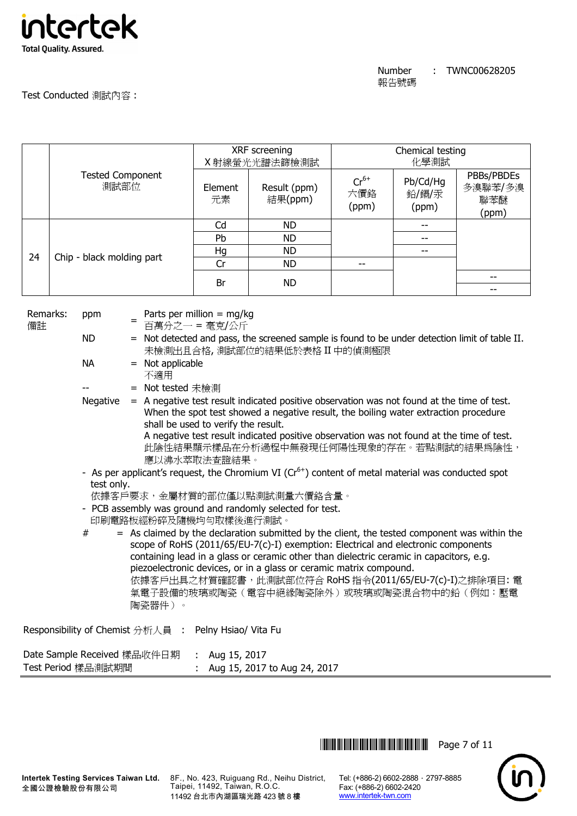

Test Conducted 測試內容 :

|                                 |                                 |                                              | XRF screening<br>X射線螢光光譜法篩檢測試                                                                                                 |                           | Chemical testing<br>化學測試   |                                       |  |
|---------------------------------|---------------------------------|----------------------------------------------|-------------------------------------------------------------------------------------------------------------------------------|---------------------------|----------------------------|---------------------------------------|--|
| <b>Tested Component</b><br>測試部位 |                                 | Element<br>元素                                | Result (ppm)<br>結果(ppm)                                                                                                       | $Cr^{6+}$<br>六價鉻<br>(ppm) | Pb/Cd/Hg<br>鉛/鎘/汞<br>(ppm) | PBBs/PBDEs<br>多溴聯苯/多溴<br>聯苯醚<br>(ppm) |  |
|                                 |                                 | Cd                                           | ND.                                                                                                                           |                           |                            |                                       |  |
|                                 |                                 | <b>Pb</b>                                    | <b>ND</b>                                                                                                                     |                           |                            |                                       |  |
|                                 | 24<br>Chip - black molding part | Hg                                           | ND.                                                                                                                           |                           |                            |                                       |  |
|                                 |                                 | Cr                                           | ND.                                                                                                                           |                           |                            |                                       |  |
|                                 |                                 | Br                                           | ND.                                                                                                                           |                           |                            |                                       |  |
|                                 |                                 |                                              |                                                                                                                               |                           |                            |                                       |  |
| Remarks:<br>備註                  | ppm                             | Parts per million = $mg/kg$<br>百萬分之一 = 毫克/公斤 |                                                                                                                               |                           |                            |                                       |  |
|                                 | ND.<br>$=$                      |                                              | Not detected and pass, the screened sample is found to be under detection limit of table II.<br>未檢測出且合格,測試部位的結果低於表格 II 中的偵測極限 |                           |                            |                                       |  |
|                                 | NА<br>Not applicable<br>$=$     |                                              |                                                                                                                               |                           |                            |                                       |  |

不適用

= Not tested 未檢測

- Negative = A negative test result indicated positive observation was not found at the time of test. When the spot test showed a negative result, the boiling water extraction procedure shall be used to verify the result. A negative test result indicated positive observation was not found at the time of test. 此陰性結果顯示樣品在分析過程中無發現任何陽性現象的存在。若點測試的結果為陰性, 應以沸水萃取法查證結果。
- As per applicant's request, the Chromium VI  $(Cr^{6+})$  content of metal material was conducted spot test only.
	- 依據客戶要求,金屬材質的部位僅以點測試測量六價鉻含量。
- PCB assembly was ground and randomly selected for test. 印刷電路板經粉碎及隨機均勻取樣後進行測試。

 $#$  = As claimed by the declaration submitted by the client, the tested component was within the scope of RoHS (2011/65/EU-7(c)-I) exemption: Electrical and electronic components containing lead in a glass or ceramic other than dielectric ceramic in capacitors, e.g. piezoelectronic devices, or in a glass or ceramic matrix compound. 依據客戶出具之材質確認書,此測試部位符合 RoHS 指令(2011/65/EU-7(c)-I)之排除項目: 電 氣電子設備的玻璃或陶瓷(電容中絕緣陶瓷除外)或玻璃或陶瓷混合物中的鉛(例如:壓電 陶瓷器件)。

Responsibility of Chemist 分析人員 : Pelny Hsiao/ Vita Fu

Date Sample Received 樣品收件日期 : Aug 15, 2017 Test Period 樣品測試期間 : Aug 15, 2017 to Aug 24, 2017

**THEFT IN SET OF 11** THE RESERVE TO THE RESERVE TO THE RESERVE TO THE RESERVE TO THE RESERVE TO THE RESERVE TO THE RESERVE TO THE RESERVE TO THE RESERVE TO THE RESERVE TO THE RESERVE TO THE RESERVE TO THE RESERVE TO THE RE

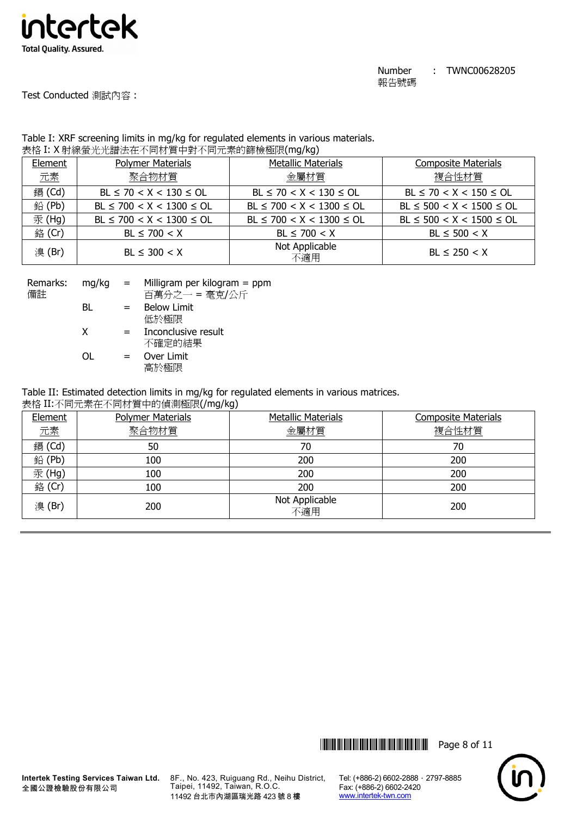

Test Conducted 測試內容 :

### Table I: XRF screening limits in mg/kg for regulated elements in various materials. 表格 I: X 射線螢光光譜法在不同材質中對不同元素的篩檢極限(mg/kg)

| Element | <b>Polymer Materials</b>       | <b>Metallic Materials</b>      | <b>Composite Materials</b>     |
|---------|--------------------------------|--------------------------------|--------------------------------|
| 元素      | 聚合物材質                          | 金屬材質                           | 複合性材質                          |
| 鎘 (Cd)  | $BL \le 70 < X < 130 \le OL$   | $BL \le 70 < X < 130 \le OL$   | $BL \le 70 < X < 150 \le OL$   |
| 鉛(Pb)   | $BL \le 700 < X < 1300 \le OL$ | $BL \le 700 < X < 1300 \le OL$ | $BL \le 500 < X < 1500 \le OL$ |
| 汞 (Hg)  | $BL \le 700 < X < 1300 \le OL$ | $BL \le 700 < X < 1300 \le OL$ | $BL \le 500 < X < 1500 \le OL$ |
| 銘 (Cr)  | $BL \le 700 < X$               | $BL \le 700 < X$               | $BL \le 500 < X$               |
| 溴(Br)   | $BL \leq 300 < X$              | Not Applicable<br>不適用          | $BL \le 250 < X$               |

| Remarks: | mg/kg | $=$ | Milligram per kilogram $=$ ppm |
|----------|-------|-----|--------------------------------|
| 備註       |       |     | 百萬分之一 = 毫克/公斤                  |
|          | BL    | $=$ | <b>Below Limit</b>             |
|          |       |     | 低於極限                           |
|          | x     | $=$ | Inconclusive result            |
|          |       |     | 不確定的結果                         |
|          | ΩL    | $=$ | Over Limit                     |
|          |       |     | 高於極限                           |

Table II: Estimated detection limits in mg/kg for regulated elements in various matrices.

表格 II:不同元素在不同材質中的偵測極限(/mg/kg)

| Element       | <b>Polymer Materials</b> | <b>Metallic Materials</b> | <b>Composite Materials</b> |
|---------------|--------------------------|---------------------------|----------------------------|
| 元素            | 聚合物材質                    | 金屬材質                      | 複合性材質                      |
| <b>鎘</b> (Cd) | 50                       | 70                        | 70                         |
| 鉛(Pb)         | 100                      | 200                       | 200                        |
| 汞(Hg)         | 100                      | 200                       | 200                        |
| 銘 (Cr)        | 100                      | 200                       | 200                        |
| 溴(Br)         | 200                      | Not Applicable<br>不適用     | 200                        |



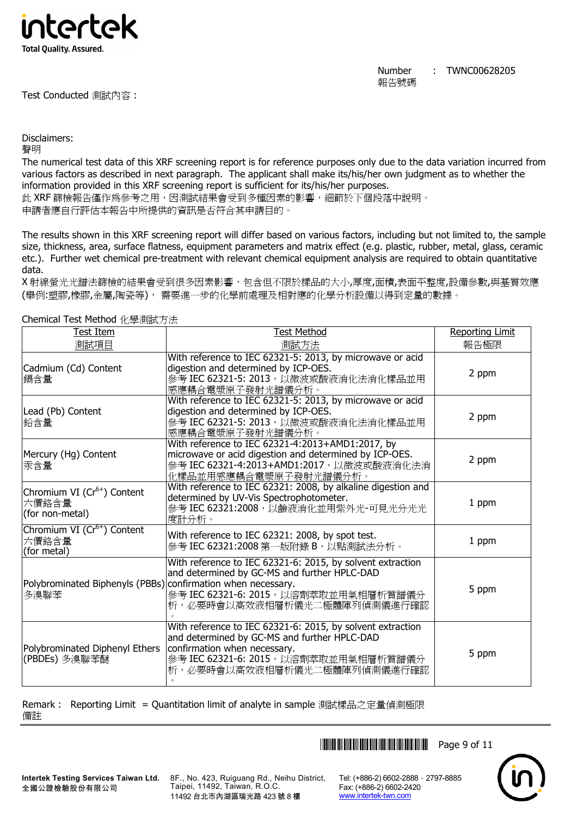

Test Conducted 測試內容 :

Number 報告號碼 : TWNC00628205

Disclaimers:

聲明

The numerical test data of this XRF screening report is for reference purposes only due to the data variation incurred from various factors as described in next paragraph. The applicant shall make its/his/her own judgment as to whether the information provided in this XRF screening report is sufficient for its/his/her purposes.

此 XRF 篩檢報告僅作為參考之用,因測試結果會受到多種因素的影響,細節於下個段落中說明。 申請者應自行評估本報告中所提供的資訊是否符合其申請目的。

The results shown in this XRF screening report will differ based on various factors, including but not limited to, the sample size, thickness, area, surface flatness, equipment parameters and matrix effect (e.g. plastic, rubber, metal, glass, ceramic etc.). Further wet chemical pre-treatment with relevant chemical equipment analysis are required to obtain quantitative data.

X 射線螢光光譜法篩檢的結果會受到很多因素影響,包含但不限於樣品的大小,厚度,面積,表面平整度,設備參數,與基質效應 (舉例:塑膠,橡膠,金屬,陶瓷等), 需要進一步的化學前處理及相對應的化學分析設備以得到定量的數據。

| Test Item                                                            | <b>Test Method</b>                                                                                                                                                                                                 | <b>Reporting Limit</b> |  |  |  |
|----------------------------------------------------------------------|--------------------------------------------------------------------------------------------------------------------------------------------------------------------------------------------------------------------|------------------------|--|--|--|
| 測試項目                                                                 | 測試方法                                                                                                                                                                                                               | 報告極限                   |  |  |  |
| Cadmium (Cd) Content<br>鎘含量                                          | With reference to IEC 62321-5: 2013, by microwave or acid<br>digestion and determined by ICP-OES.<br>參考 IEC 62321-5: 2013, 以微波或酸液消化法消化樣品並用<br>感應耦合電漿原子發射光譜儀分析。                                                     | 2 ppm                  |  |  |  |
| Lead (Pb) Content<br> 鉛含量                                            | With reference to IEC 62321-5: 2013, by microwave or acid<br>digestion and determined by ICP-OES.<br>參考 IEC 62321-5: 2013, 以微波或酸液消化法消化樣品並用<br>感應耦合電漿原子發射光譜儀分析。                                                     |                        |  |  |  |
| Mercury (Hg) Content<br>汞含量                                          | With reference to IEC 62321-4:2013+AMD1:2017, by<br>microwave or acid digestion and determined by ICP-OES.<br>參考 IEC 62321-4:2013+AMD1:2017, 以微波或酸液消化法消<br>化樣品並用感應耦合電漿原子發射光譜儀分析。                                   | 2 ppm                  |  |  |  |
| Chromium VI (Cr <sup>6+</sup> ) Content<br>六價鉻含量<br>(for non-metal)  | With reference to IEC 62321: 2008, by alkaline digestion and<br>determined by UV-Vis Spectrophotometer.<br>參考 IEC 62321:2008, 以鹼液消化並用紫外光-可見光分光光<br>度計分析。                                                           | 1 ppm                  |  |  |  |
| Chromium VI (Cr <sup>6+</sup> ) Content<br>六價鉻含量<br>(for metal)      | With reference to IEC 62321: 2008, by spot test.<br>參考 IEC 62321:2008 第一版附錄 B,以點測試法分析。                                                                                                                             | 1 ppm                  |  |  |  |
| Polybrominated Biphenyls (PBBs) confirmation when necessary.<br>多溴聯苯 | With reference to IEC 62321-6: 2015, by solvent extraction<br>and determined by GC-MS and further HPLC-DAD<br>參考 IEC 62321-6: 2015, 以溶劑萃取並用氣相層析質譜儀分<br>析,必要時會以高效液相層析儀光二極體陣列偵測儀進行確認                                 | 5 ppm                  |  |  |  |
| Polybrominated Diphenyl Ethers<br>(PBDEs) 多溴聯苯醚                      | With reference to IEC 62321-6: 2015, by solvent extraction<br>and determined by GC-MS and further HPLC-DAD<br>confirmation when necessary.<br>參考 IEC 62321-6: 2015, 以溶劑萃取並用氣相層析質譜儀分<br>析,必要時會以高效液相層析儀光二極體陣列偵測儀進行確認 | 5 ppm                  |  |  |  |

Chemical Test Method 化學測試方法

Remark : 備註 Reporting Limit = Quantitation limit of analyte in sample 測試樣品之定量偵測極限

**THEFT REFERENCE IN THE REPORT OF 11** 

**Intertek Testing Services Taiwan Ltd.** 全國公證檢驗股份有限公司

8F., No. 423, Ruiguang Rd., Neihu District, Taipei, 11492, Taiwan, R.O.C. 11492 台北市內湖區瑞光路 423 號 8 樓

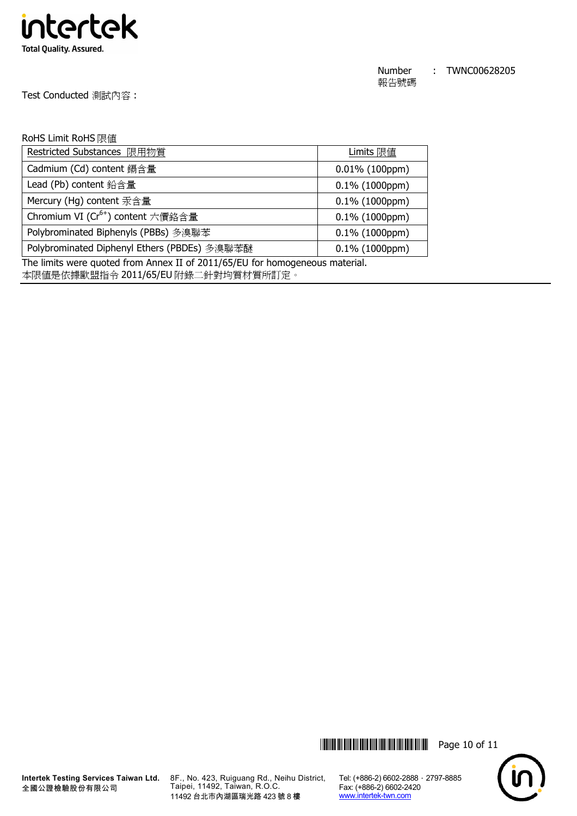

Test Conducted 測試內容 :

## RoHS Limit RoHS 限值

| Restricted Substances 限用物質                    | Limits 限值         |
|-----------------------------------------------|-------------------|
| Cadmium (Cd) content 鎘含量                      | $0.01\%$ (100ppm) |
| Lead (Pb) content 鉛含量                         | $0.1\%$ (1000ppm) |
| Mercury (Hg) content 汞含量                      | $0.1\%$ (1000ppm) |
| Chromium VI (Cr <sup>6+</sup> ) content 六價鉻含量 | $0.1\%$ (1000ppm) |
| Polybrominated Biphenyls (PBBs) 多溴聯苯          | $0.1\%$ (1000ppm) |
| Polybrominated Diphenyl Ethers (PBDEs) 多溴聯苯醚  | $0.1\%$ (1000ppm) |

The limits were quoted from Annex II of 2011/65/EU for homogeneous material.

本限值是依據歐盟指令 2011/65/EU 附錄二針對均質材質所訂定。





8F., No. 423, Ruiguang Rd., Neihu District, Taipei, 11492, Taiwan, R.O.C. 11492 台北市內湖區瑞光路 423 號 8 樓